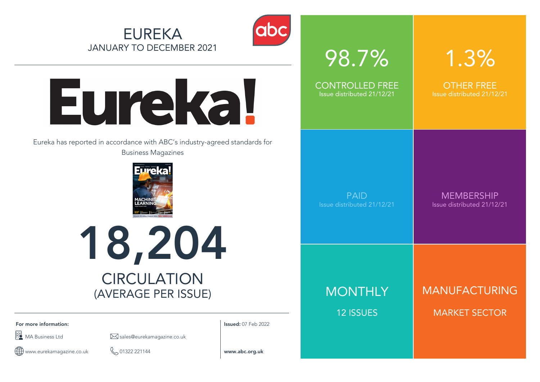



# Eureka!

Eureka has reported in accordance with ABC's industry-agreed standards for Business Magazines





**For more information: Issued:** 07 Feb 2022

 $\boxdot$  MA Business Ltd sales@eurekamagazine.co.uk

www.eurekamagazine.co.uk 01322 221144 **www.abc.org.uk**  $\bigoplus$ 

| 98.7%                      | 1.3%                       |
|----------------------------|----------------------------|
| <b>CONTROLLED FREE</b>     | <b>OTHER FREE</b>          |
| Issue distributed 21/12/21 | Issue distributed 21/12/21 |
| <b>PAID</b>                | <b>MEMBERSHIP</b>          |
| Issue distributed 21/12/21 | Issue distributed 21/12/21 |
| <b>MONTHLY</b>             | MANUFACTURING              |
| <b>12 ISSUES</b>           | <b>MARKET SECTOR</b>       |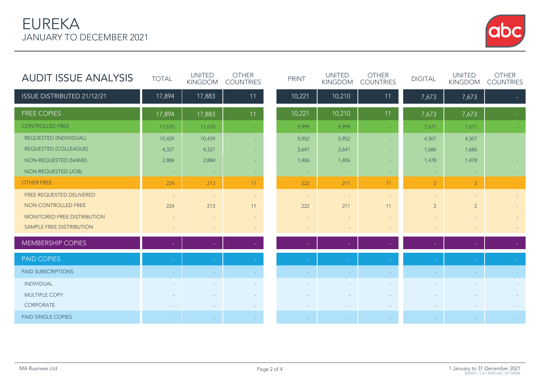# EUREKA JANUARY TO DECEMBER 2021



| <b>AUDIT ISSUE ANALYSIS</b>  | <b>TOTAL</b> | <b>UNITED</b><br><b>KINGDOM</b> | <b>OTHER</b><br><b>COUNTRIES</b> | <b>PRINT</b>             | <b>UNITED</b><br><b>KINGDOM</b> | <b>OTHER</b><br><b>COUNTRIES</b> | <b>DIGITAL</b> | <b>UNITED</b><br><b>KINGDOM</b> | <b>OTHER</b><br><b>COUNTRIES</b> |
|------------------------------|--------------|---------------------------------|----------------------------------|--------------------------|---------------------------------|----------------------------------|----------------|---------------------------------|----------------------------------|
| ISSUE DISTRIBUTED 21/12/21   | 17,894       | 17,883                          | 11                               | 10,221                   | 10,210                          | 11                               | 7,673          | 7,673                           |                                  |
| <b>FREE COPIES</b>           | 17,894       | 17,883                          | 11                               | 10,221                   | 10,210                          | 11                               | 7,673          | 7,673                           |                                  |
| <b>CONTROLLED FREE</b>       | 17,670       | 17,670                          |                                  | 9,999                    | 9,999                           |                                  | 7,671          | 7,671                           |                                  |
| REQUESTED (INDIVIDUAL)       | 10,459       | 10,459                          |                                  | 5,952                    | 5,952                           |                                  | 4,507          | 4,507                           |                                  |
| <b>REQUESTED (COLLEAGUE)</b> | 4,327        | 4,327                           |                                  | 2,641                    | 2,641                           |                                  | 1,686          | 1,686                           |                                  |
| NON-REQUESTED (NAME)         | 2,884        | 2,884                           |                                  | 1,406                    | 1,406                           | ٠                                | 1,478          | 1,478                           |                                  |
| NON-REQUESTED (JOB)          | ÷            | $\sim$                          | <b>COL</b>                       | $\sim$                   | $\sim$                          | ÷                                | $\sim$         | $\sim$                          |                                  |
| <b>OTHER FREE</b>            | 224          | 213                             | 11                               | 222                      | 211                             | 11                               | $\overline{2}$ | 2                               |                                  |
| FREE REQUESTED DELIVERED     | $\sim$       | $\overline{\phantom{a}}$        | $\sim$                           | $\overline{\phantom{a}}$ | $\overline{\phantom{a}}$        |                                  | $\sim$         |                                 |                                  |
| NON-CONTROLLED FREE          | 224          | 213                             | 11                               | 222                      | 211                             | 11                               | $\overline{2}$ | $\overline{2}$                  |                                  |
| MONITORED FREE DISTRIBUTION  |              |                                 | $\overline{\phantom{a}}$         |                          |                                 |                                  |                |                                 |                                  |
| SAMPLE FREE DISTRIBUTION     |              | $\sim$                          | $\sim$                           | $\overline{\phantom{0}}$ | $\overline{\phantom{a}}$        |                                  |                |                                 |                                  |
| <b>MEMBERSHIP COPIES</b>     |              |                                 |                                  |                          |                                 |                                  |                |                                 |                                  |
| <b>PAID COPIES</b>           |              |                                 |                                  |                          |                                 |                                  |                |                                 |                                  |
| <b>PAID SUBSCRIPTIONS</b>    |              |                                 |                                  |                          |                                 |                                  |                |                                 |                                  |
| <b>INDIVIDUAL</b>            |              |                                 |                                  |                          |                                 |                                  |                |                                 |                                  |
| MULTIPLE COPY                |              |                                 |                                  |                          |                                 |                                  |                |                                 |                                  |
| CORPORATE                    |              |                                 |                                  |                          |                                 |                                  |                |                                 |                                  |
| <b>PAID SINGLE COPIES</b>    |              |                                 |                                  |                          |                                 |                                  |                |                                 |                                  |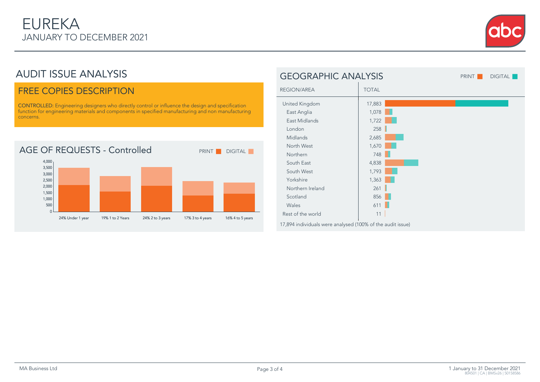

# AUDIT ISSUE ANALYSIS

### FREE COPIES DESCRIPTION

CONTROLLED: Engineering designers who directly control or influence the design and specification function for engineering materials and components in specified manufacturing and non manufacturing concerns.



| <b>GEOGRAPHIC ANALYSIS</b>                                 |              | <b>PRINT</b> | <b>DIGITAL</b> |
|------------------------------------------------------------|--------------|--------------|----------------|
| REGION/AREA                                                | <b>TOTAL</b> |              |                |
| United Kingdom                                             | 17,883       |              |                |
| East Anglia                                                | 1,078        |              |                |
| East Midlands                                              | 1,722        |              |                |
| London                                                     | 258          |              |                |
| Midlands                                                   | 2,685        |              |                |
| North West                                                 | 1,670        |              |                |
| Northern                                                   | 748          |              |                |
| South East                                                 | 4,838        |              |                |
| South West                                                 | 1,793        |              |                |
| Yorkshire                                                  | 1,363        |              |                |
| Northern Ireland                                           | 261          |              |                |
| Scotland                                                   | 856          |              |                |
| Wales                                                      | 611          |              |                |
| Rest of the world                                          | 11           |              |                |
| 17,894 individuals were analysed (100% of the audit issue) |              |              |                |